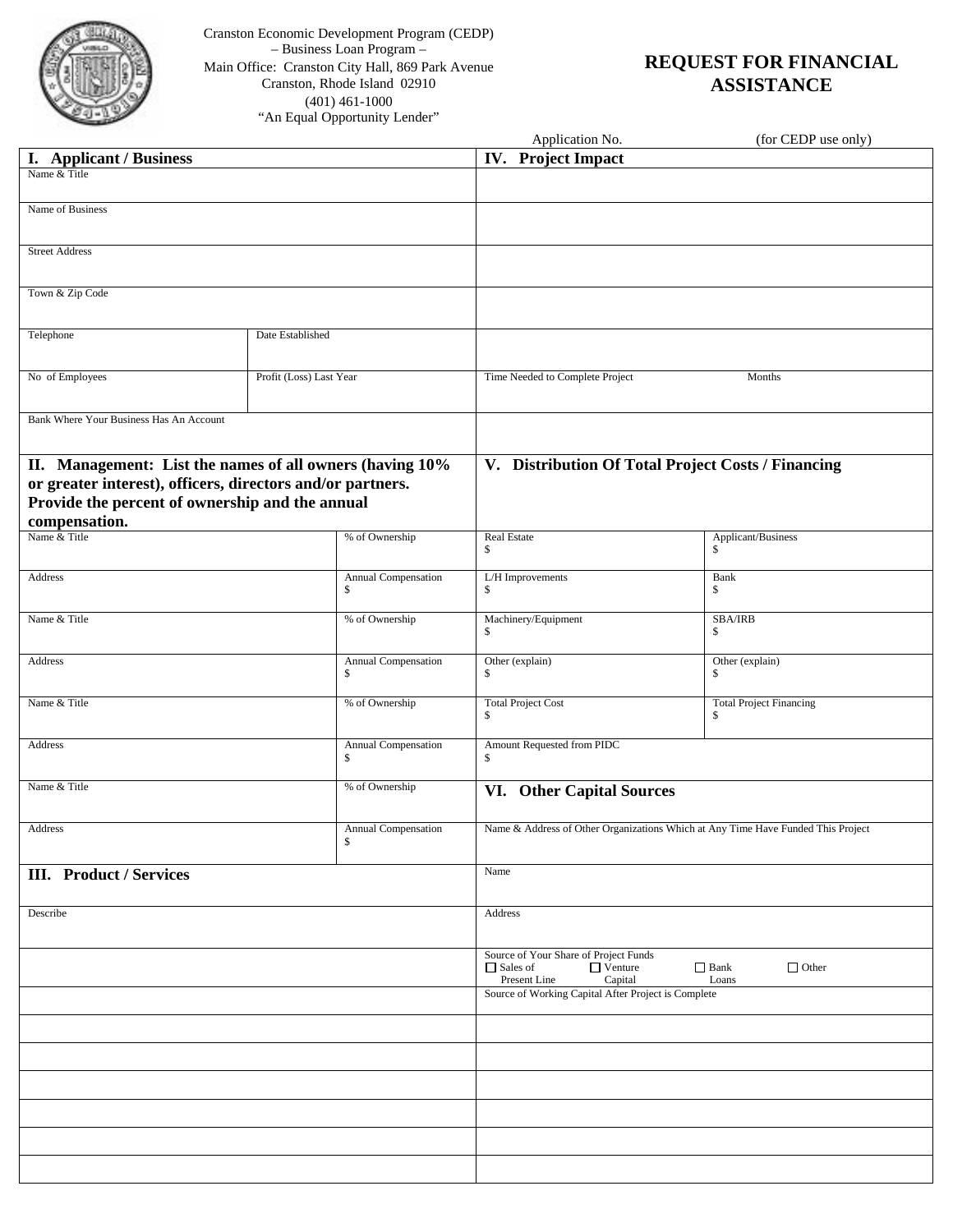

Cranston Economic Development Program (CEDP) – Business Loan Program – Main Office: Cranston City Hall, 869 Park Avenue Cranston, Rhode Island 02910 (401) 461-1000 "An Equal Opportunity Lender"

# **REQUEST FOR FINANCIAL ASSISTANCE**

|                                                            |                         |                                                     | Application No.                                                                                                                 | (for CEDP use only)                                |  |  |
|------------------------------------------------------------|-------------------------|-----------------------------------------------------|---------------------------------------------------------------------------------------------------------------------------------|----------------------------------------------------|--|--|
| I. Applicant / Business                                    |                         |                                                     | IV. Project Impact                                                                                                              |                                                    |  |  |
| Name & Title                                               |                         |                                                     |                                                                                                                                 |                                                    |  |  |
|                                                            |                         |                                                     |                                                                                                                                 |                                                    |  |  |
| Name of Business                                           |                         |                                                     |                                                                                                                                 |                                                    |  |  |
| <b>Street Address</b>                                      |                         |                                                     |                                                                                                                                 |                                                    |  |  |
|                                                            |                         |                                                     |                                                                                                                                 |                                                    |  |  |
| Town & Zip Code                                            |                         |                                                     |                                                                                                                                 |                                                    |  |  |
| Telephone                                                  | Date Established        |                                                     |                                                                                                                                 |                                                    |  |  |
| No of Employees                                            | Profit (Loss) Last Year |                                                     | Time Needed to Complete Project                                                                                                 | Months                                             |  |  |
| Bank Where Your Business Has An Account                    |                         |                                                     |                                                                                                                                 |                                                    |  |  |
|                                                            |                         |                                                     |                                                                                                                                 |                                                    |  |  |
| II. Management: List the names of all owners (having 10%   |                         |                                                     |                                                                                                                                 | V. Distribution Of Total Project Costs / Financing |  |  |
| or greater interest), officers, directors and/or partners. |                         |                                                     |                                                                                                                                 |                                                    |  |  |
| Provide the percent of ownership and the annual            |                         |                                                     |                                                                                                                                 |                                                    |  |  |
| compensation.                                              |                         |                                                     |                                                                                                                                 |                                                    |  |  |
| Name & Title                                               |                         | % of Ownership                                      | Real Estate<br>\$                                                                                                               | Applicant/Business<br>\$                           |  |  |
| Address                                                    |                         | Annual Compensation                                 | L/H Improvements                                                                                                                | Bank                                               |  |  |
|                                                            |                         | S                                                   | \$                                                                                                                              | \$                                                 |  |  |
| Name & Title                                               |                         | % of Ownership                                      | Machinery/Equipment                                                                                                             | <b>SBA/IRB</b>                                     |  |  |
|                                                            |                         |                                                     | \$                                                                                                                              | \$                                                 |  |  |
| Address                                                    |                         | Annual Compensation<br>\$                           | Other (explain)<br>\$                                                                                                           | Other (explain)<br>\$                              |  |  |
| Name & Title                                               |                         | % of Ownership                                      | <b>Total Project Cost</b><br>\$                                                                                                 | <b>Total Project Financing</b><br>\$               |  |  |
| Address                                                    |                         | Annual Compensation<br>S                            | Amount Requested from PIDC<br>S                                                                                                 |                                                    |  |  |
| Name & Title                                               |                         | % of Ownership                                      | VI. Other Capital Sources                                                                                                       |                                                    |  |  |
| Address                                                    |                         | Annual Compensation<br>\$                           | Name & Address of Other Organizations Which at Any Time Have Funded This Project                                                |                                                    |  |  |
| <b>III.</b> Product / Services                             |                         |                                                     | Name                                                                                                                            |                                                    |  |  |
|                                                            |                         |                                                     |                                                                                                                                 |                                                    |  |  |
| Describe                                                   |                         |                                                     | Address                                                                                                                         |                                                    |  |  |
|                                                            |                         |                                                     |                                                                                                                                 |                                                    |  |  |
|                                                            |                         |                                                     | Source of Your Share of Project Funds<br>□ Sales of<br>$\Box$ Other<br>$\Box$ Venture<br>$\Box$ Bank<br>Present Line<br>Capital |                                                    |  |  |
|                                                            |                         | Source of Working Capital After Project is Complete | Loans                                                                                                                           |                                                    |  |  |
|                                                            |                         |                                                     |                                                                                                                                 |                                                    |  |  |
|                                                            |                         |                                                     |                                                                                                                                 |                                                    |  |  |
|                                                            |                         |                                                     |                                                                                                                                 |                                                    |  |  |
|                                                            |                         |                                                     |                                                                                                                                 |                                                    |  |  |
|                                                            |                         |                                                     |                                                                                                                                 |                                                    |  |  |
|                                                            |                         |                                                     |                                                                                                                                 |                                                    |  |  |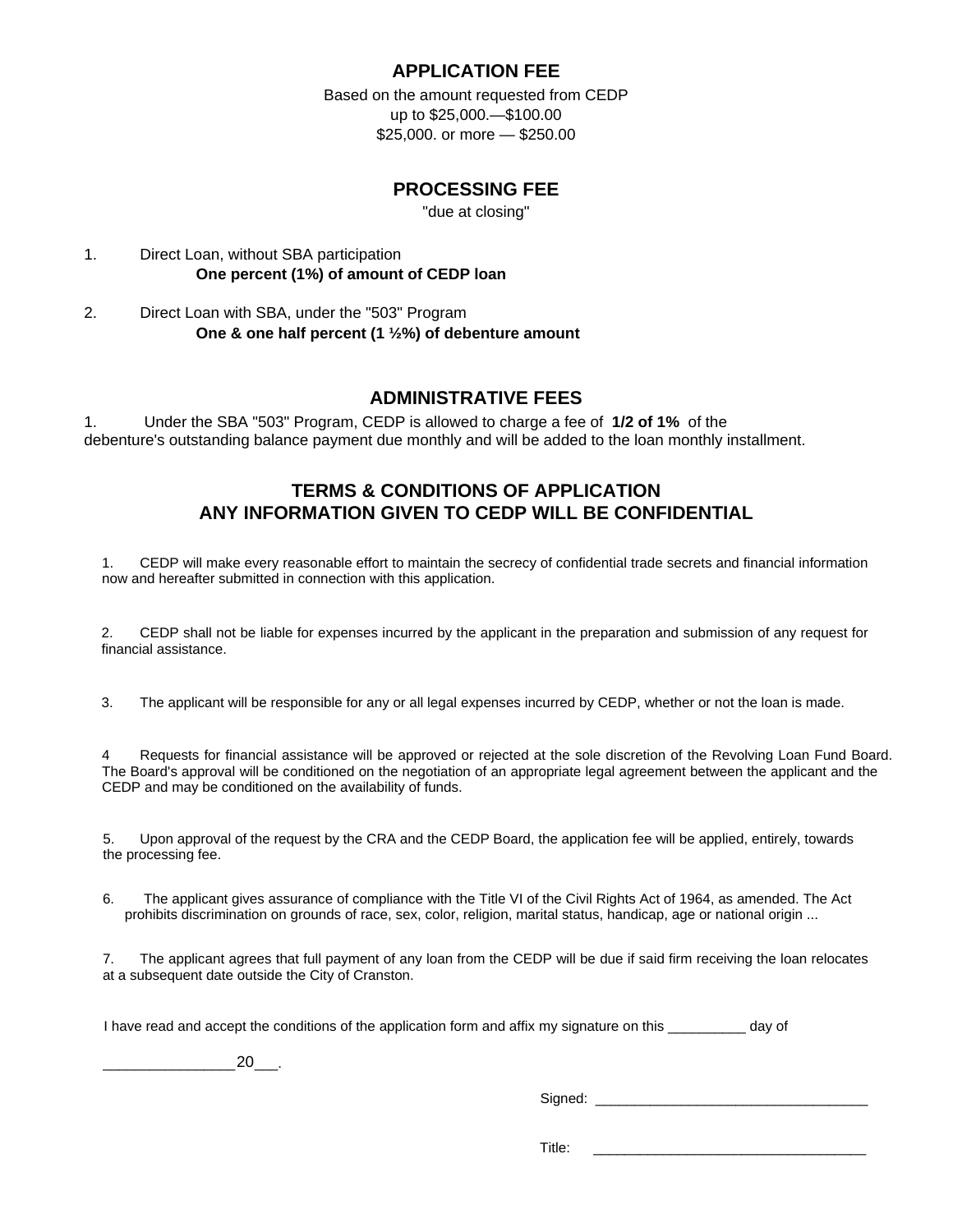# **APPLICATION FEE**

Based on the amount requested from CEDP up to \$25,000.—\$100.00 \$25,000. or more — \$250.00

# **PROCESSING FEE**

"due at closing"

# 1. Direct Loan, without SBA participation **One percent (1%) of amount of CEDP loan**

2. Direct Loan with SBA, under the "503" Program **One & one half percent (1 ½%) of debenture amount** 

# **ADMINISTRATIVE FEES**

1. Under the SBA "503" Program, CEDP is allowed to charge a fee of **1/2 of 1%** of the debenture's outstanding balance payment due monthly and will be added to the loan monthly installment.

# **TERMS & CONDITIONS OF APPLICATION ANY INFORMATION GIVEN TO CEDP WILL BE CONFIDENTIAL**

1. CEDP will make every reasonable effort to maintain the secrecy of confidential trade secrets and financial information now and hereafter submitted in connection with this application.

2. CEDP shall not be liable for expenses incurred by the applicant in the preparation and submission of any request for financial assistance.

3. The applicant will be responsible for any or all legal expenses incurred by CEDP, whether or not the loan is made.

4 Requests for financial assistance will be approved or rejected at the sole discretion of the Revolving Loan Fund Board. The Board's approval will be conditioned on the negotiation of an appropriate legal agreement between the applicant and the CEDP and may be conditioned on the availability of funds.

5. Upon approval of the request by the CRA and the CEDP Board, the application fee will be applied, entirely, towards the processing fee.

6. The applicant gives assurance of compliance with the Title VI of the Civil Rights Act of 1964, as amended. The Act prohibits discrimination on grounds of race, sex, color, religion, marital status, handicap, age or national origin ...

7. The applicant agrees that full payment of any loan from the CEDP will be due if said firm receiving the loan relocates at a subsequent date outside the City of Cranston.

I have read and accept the conditions of the application form and affix my signature on this \_\_\_\_\_\_\_\_\_\_ day of

\_\_\_\_\_\_\_\_\_\_\_\_\_\_\_\_\_ \_\_\_. 20

Signed: \_\_\_\_\_\_\_\_\_\_\_\_\_\_\_\_\_\_\_\_\_\_\_\_\_\_\_\_\_\_\_\_\_\_\_

Title: \_\_\_\_\_\_\_\_\_\_\_\_\_\_\_\_\_\_\_\_\_\_\_\_\_\_\_\_\_\_\_\_\_\_\_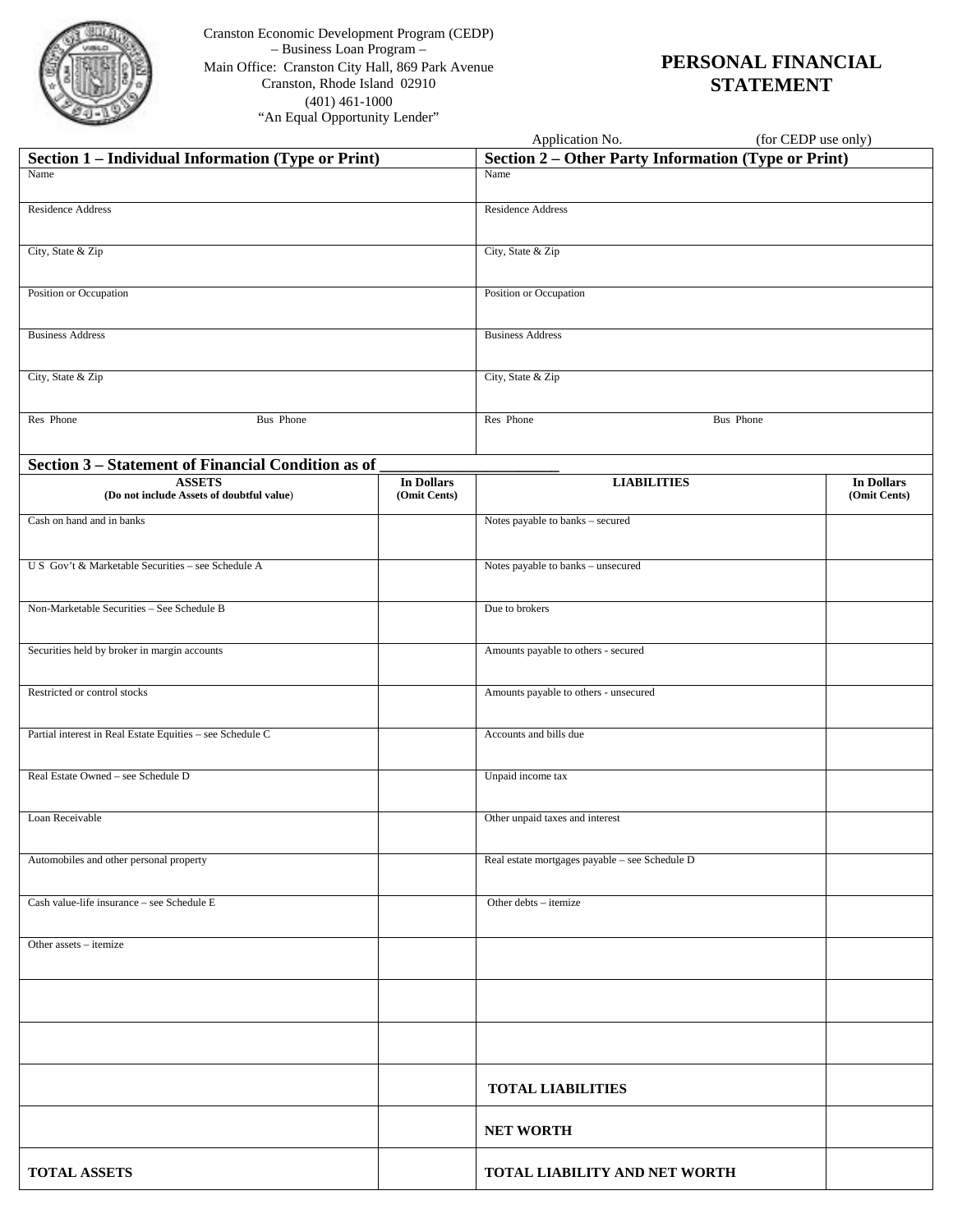

Cranston Economic Development Program (CEDP) – Business Loan Program – Main Office: Cranston City Hall, 869 Park Avenue Cranston, Rhode Island 02910 (401) 461-1000 "An Equal Opportunity Lender"

# **PERSONAL FINANCIAL STATEMENT**

|                                                            |                                   | Application No.<br>(for CEDP use only)                     |                                   |  |  |
|------------------------------------------------------------|-----------------------------------|------------------------------------------------------------|-----------------------------------|--|--|
| Section 1 - Individual Information (Type or Print)         |                                   | <b>Section 2 – Other Party Information (Type or Print)</b> |                                   |  |  |
| Name                                                       |                                   | Name                                                       |                                   |  |  |
| <b>Residence Address</b>                                   |                                   | Residence Address                                          |                                   |  |  |
| City, State & Zip                                          |                                   | City, State & Zip                                          |                                   |  |  |
| Position or Occupation                                     |                                   | Position or Occupation                                     |                                   |  |  |
| <b>Business Address</b>                                    |                                   | <b>Business Address</b>                                    |                                   |  |  |
| City, State & Zip                                          |                                   | City, State & Zip                                          |                                   |  |  |
| Res Phone<br>Bus Phone                                     |                                   | Res Phone<br>Bus Phone                                     |                                   |  |  |
| Section 3 - Statement of Financial Condition as of         |                                   |                                                            |                                   |  |  |
| <b>ASSETS</b><br>(Do not include Assets of doubtful value) | <b>In Dollars</b><br>(Omit Cents) | <b>LIABILITIES</b>                                         | <b>In Dollars</b><br>(Omit Cents) |  |  |
| Cash on hand and in banks                                  |                                   | Notes payable to banks - secured                           |                                   |  |  |
| U S Gov't & Marketable Securities - see Schedule A         |                                   | Notes payable to banks - unsecured                         |                                   |  |  |
| Non-Marketable Securities - See Schedule B                 |                                   | Due to brokers                                             |                                   |  |  |
| Securities held by broker in margin accounts               |                                   | Amounts payable to others - secured                        |                                   |  |  |
| Restricted or control stocks                               |                                   | Amounts payable to others - unsecured                      |                                   |  |  |
| Partial interest in Real Estate Equities - see Schedule C  |                                   | Accounts and bills due                                     |                                   |  |  |
| Real Estate Owned - see Schedule D                         |                                   | Unpaid income tax                                          |                                   |  |  |
| Loan Receivable                                            |                                   | Other unpaid taxes and interest                            |                                   |  |  |
| Automobiles and other personal property                    |                                   | Real estate mortgages payable - see Schedule D             |                                   |  |  |
| Cash value-life insurance - see Schedule E                 |                                   | Other debts - itemize                                      |                                   |  |  |
| Other assets – itemize                                     |                                   |                                                            |                                   |  |  |
|                                                            |                                   |                                                            |                                   |  |  |
|                                                            |                                   |                                                            |                                   |  |  |
|                                                            |                                   | <b>TOTAL LIABILITIES</b>                                   |                                   |  |  |
|                                                            |                                   | <b>NET WORTH</b>                                           |                                   |  |  |
| <b>TOTAL ASSETS</b>                                        |                                   | TOTAL LIABILITY AND NET WORTH                              |                                   |  |  |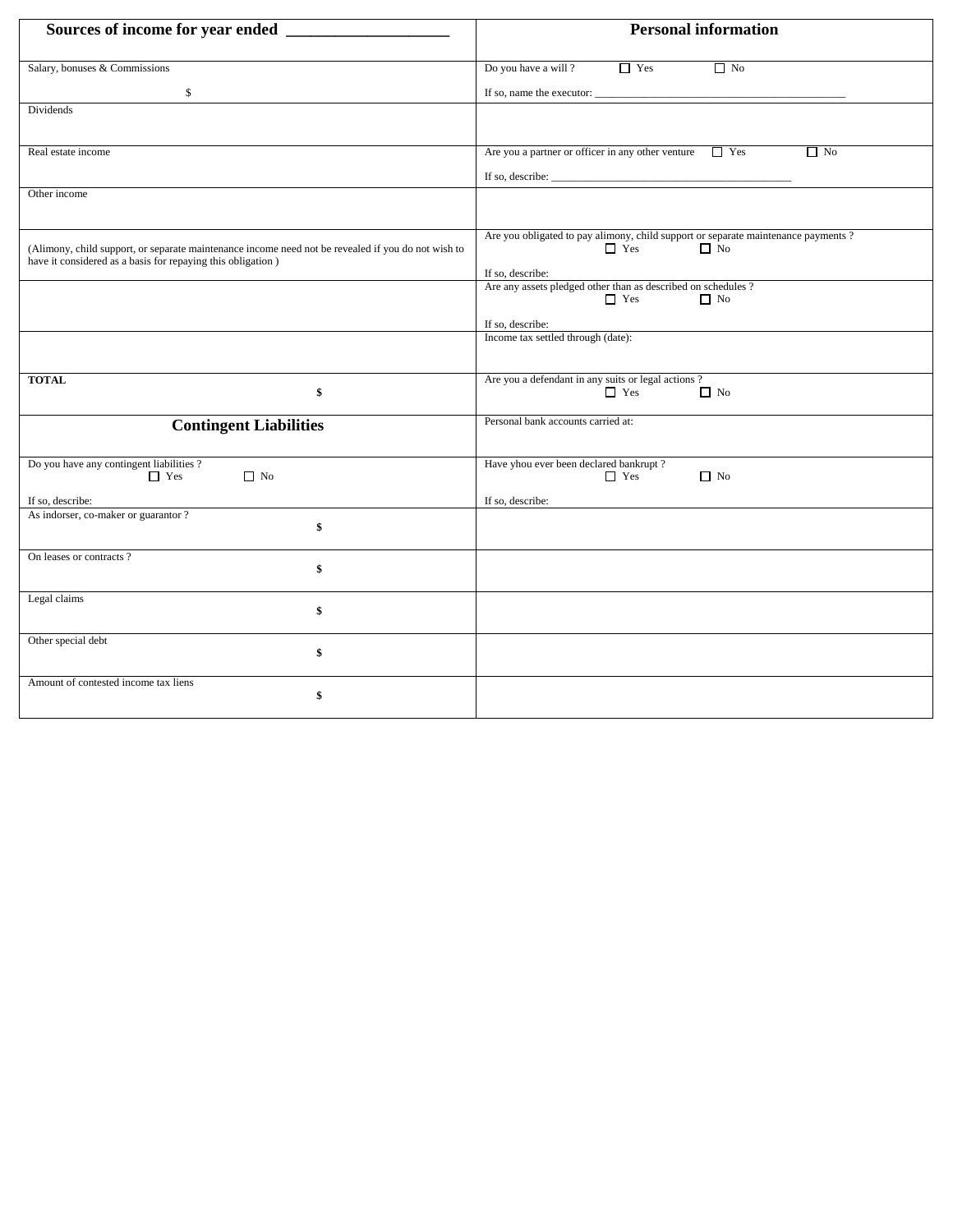|                                                                                                                                                                   | <b>Personal information</b>                                                                                  |  |  |  |
|-------------------------------------------------------------------------------------------------------------------------------------------------------------------|--------------------------------------------------------------------------------------------------------------|--|--|--|
| Salary, bonuses & Commissions                                                                                                                                     | Do you have a will?<br>$\Box$ Yes<br>$\Box$ No                                                               |  |  |  |
| \$                                                                                                                                                                |                                                                                                              |  |  |  |
| Dividends                                                                                                                                                         |                                                                                                              |  |  |  |
| Real estate income                                                                                                                                                | Are you a partner or officer in any other venture $\Box$ Yes<br>$\Box$ No                                    |  |  |  |
|                                                                                                                                                                   | If so, describe: $\sqrt{\frac{1}{2} \sum_{i=1}^{n} (x_i - x_i)^2}$                                           |  |  |  |
| Other income                                                                                                                                                      |                                                                                                              |  |  |  |
| (Alimony, child support, or separate maintenance income need not be revealed if you do not wish to<br>have it considered as a basis for repaying this obligation) | Are you obligated to pay alimony, child support or separate maintenance payments?<br>$\Box$ Yes<br>$\Box$ No |  |  |  |
|                                                                                                                                                                   | If so, describe:<br>Are any assets pledged other than as described on schedules ?                            |  |  |  |
|                                                                                                                                                                   | $\Box$ Yes<br>$\Box$ No                                                                                      |  |  |  |
|                                                                                                                                                                   | If so, describe:<br>Income tax settled through (date):                                                       |  |  |  |
|                                                                                                                                                                   |                                                                                                              |  |  |  |
| <b>TOTAL</b><br>\$                                                                                                                                                | Are you a defendant in any suits or legal actions?<br>$\Box$ Yes<br>$\Box$ No                                |  |  |  |
| <b>Contingent Liabilities</b>                                                                                                                                     | Personal bank accounts carried at:                                                                           |  |  |  |
| Do you have any contingent liabilities?<br>$\Box$ Yes<br>$\Box$ No                                                                                                | Have yhou ever been declared bankrupt?<br>$\hfill\blacksquare$<br>Yes<br>$\Box$ No                           |  |  |  |
| If so, describe:<br>As indorser, co-maker or guarantor?                                                                                                           | If so, describe:                                                                                             |  |  |  |
| \$                                                                                                                                                                |                                                                                                              |  |  |  |
| On leases or contracts?<br>\$                                                                                                                                     |                                                                                                              |  |  |  |
| Legal claims<br>\$                                                                                                                                                |                                                                                                              |  |  |  |
| Other special debt<br>\$                                                                                                                                          |                                                                                                              |  |  |  |
| Amount of contested income tax liens<br>\$                                                                                                                        |                                                                                                              |  |  |  |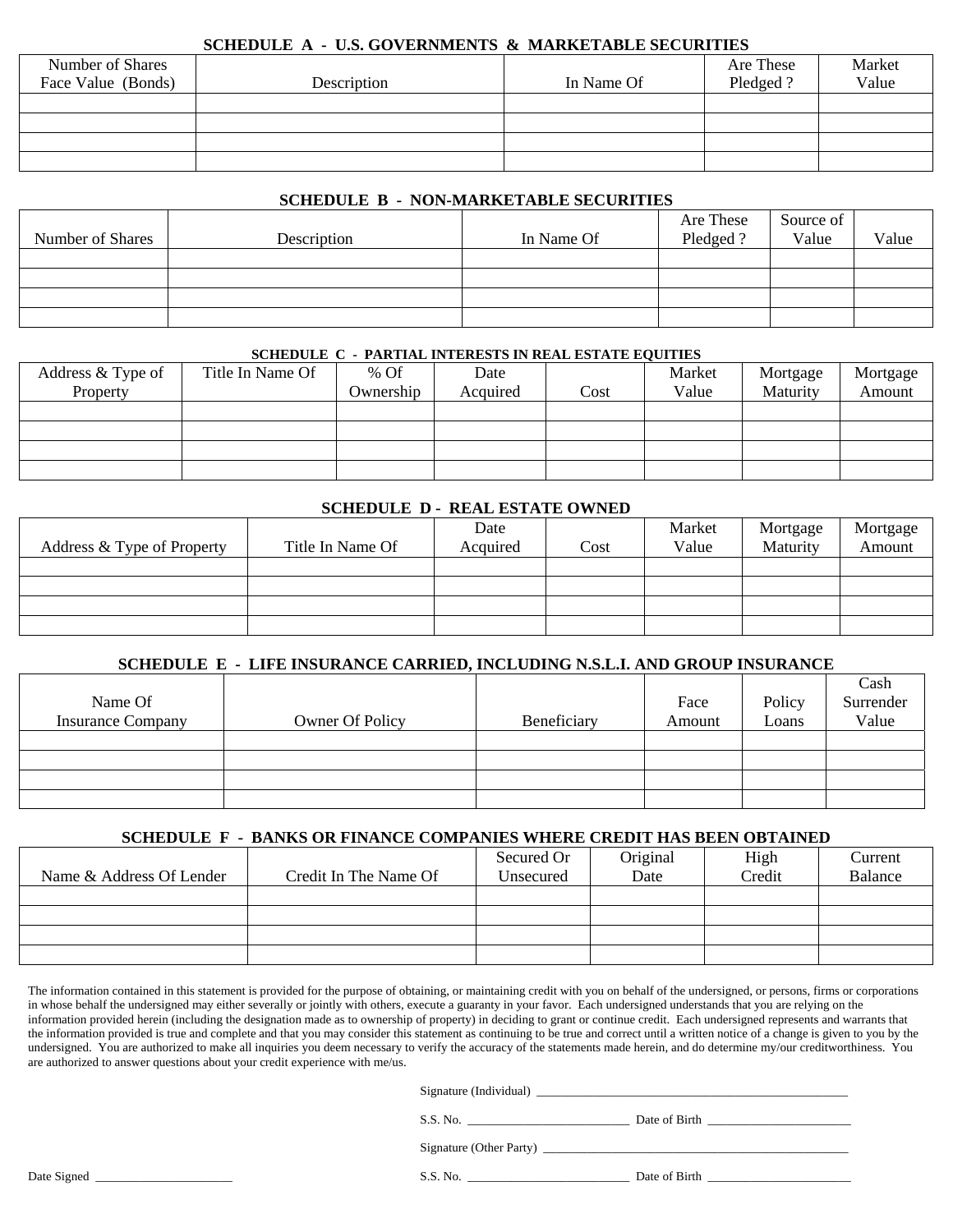#### **SCHEDULE A - U.S. GOVERNMENTS & MARKETABLE SECURITIES**

| Number of Shares   |             |            | Are These | Market |
|--------------------|-------------|------------|-----------|--------|
| Face Value (Bonds) | Description | In Name Of | Pledged?  | Value  |
|                    |             |            |           |        |
|                    |             |            |           |        |
|                    |             |            |           |        |
|                    |             |            |           |        |

# **SCHEDULE B - NON-MARKETABLE SECURITIES**

| Number of Shares | Description | In Name Of | Are These<br>Pledged? | Source of<br>Value | Value |
|------------------|-------------|------------|-----------------------|--------------------|-------|
|                  |             |            |                       |                    |       |
|                  |             |            |                       |                    |       |
|                  |             |            |                       |                    |       |
|                  |             |            |                       |                    |       |

#### **SCHEDULE C - PARTIAL INTERESTS IN REAL ESTATE EQUITIES**

| Address & Type of | Title In Name Of | $%$ Of    | Date     |      | Market | Mortgage | Mortgage |
|-------------------|------------------|-----------|----------|------|--------|----------|----------|
| Property          |                  | Ownership | Acquired | Cost | Value  | Maturity | Amount   |
|                   |                  |           |          |      |        |          |          |
|                   |                  |           |          |      |        |          |          |
|                   |                  |           |          |      |        |          |          |
|                   |                  |           |          |      |        |          |          |

### **SCHEDULE D - REAL ESTATE OWNED**

|                            |                  | Date     |      | Market | Mortgage | Mortgage |
|----------------------------|------------------|----------|------|--------|----------|----------|
| Address & Type of Property | Title In Name Of | Acquired | Cost | Value  | Maturity | Amount   |
|                            |                  |          |      |        |          |          |
|                            |                  |          |      |        |          |          |
|                            |                  |          |      |        |          |          |
|                            |                  |          |      |        |          |          |

# **SCHEDULE E - LIFE INSURANCE CARRIED, INCLUDING N.S.L.I. AND GROUP INSURANCE**

|                          |                 |             |        |        | Cash      |
|--------------------------|-----------------|-------------|--------|--------|-----------|
| Name Of                  |                 |             | Face   | Policy | Surrender |
| <b>Insurance Company</b> | Owner Of Policy | Beneficiary | Amount | Loans  | Value     |
|                          |                 |             |        |        |           |
|                          |                 |             |        |        |           |
|                          |                 |             |        |        |           |
|                          |                 |             |        |        |           |

# **SCHEDULE F - BANKS OR FINANCE COMPANIES WHERE CREDIT HAS BEEN OBTAINED**

|                          |                       | Secured Or | Original | High   | Current |
|--------------------------|-----------------------|------------|----------|--------|---------|
| Name & Address Of Lender | Credit In The Name Of | Unsecured  | Date     | Credit | Balance |
|                          |                       |            |          |        |         |
|                          |                       |            |          |        |         |
|                          |                       |            |          |        |         |
|                          |                       |            |          |        |         |

The information contained in this statement is provided for the purpose of obtaining, or maintaining credit with you on behalf of the undersigned, or persons, firms or corporations in whose behalf the undersigned may either severally or jointly with others, execute a guaranty in your favor. Each undersigned understands that you are relying on the information provided herein (including the designation made as to ownership of property) in deciding to grant or continue credit. Each undersigned represents and warrants that the information provided is true and complete and that you may consider this statement as continuing to be true and correct until a written notice of a change is given to you by the undersigned. You are authorized to make all inquiries you deem necessary to verify the accuracy of the statements made herein, and do determine my/our creditworthiness. You are authorized to answer questions about your credit experience with me/us.

Signature (Individual) \_\_\_\_\_\_\_\_\_\_\_\_\_\_\_\_\_\_\_\_\_\_\_\_\_\_\_\_\_\_\_\_\_\_\_\_\_\_\_\_\_\_\_\_\_\_\_\_\_\_

S.S. No. \_\_\_\_\_\_\_\_\_\_\_\_\_\_\_\_\_\_\_\_\_\_\_\_\_\_ Date of Birth \_\_\_\_\_\_\_\_\_\_\_\_\_\_\_\_\_\_\_\_\_\_\_

Signature (Other Party) \_\_\_\_\_\_\_\_\_\_\_\_\_\_\_\_\_\_\_\_\_\_\_\_\_\_\_\_\_\_\_\_\_\_\_\_\_\_\_\_\_\_\_\_\_\_\_\_\_

Date Signed \_\_\_\_\_\_\_\_\_\_\_\_\_\_\_\_\_\_\_\_\_\_ S.S. No. \_\_\_\_\_\_\_\_\_\_\_\_\_\_\_\_\_\_\_\_\_\_\_\_\_\_ Date of Birth \_\_\_\_\_\_\_\_\_\_\_\_\_\_\_\_\_\_\_\_\_\_\_